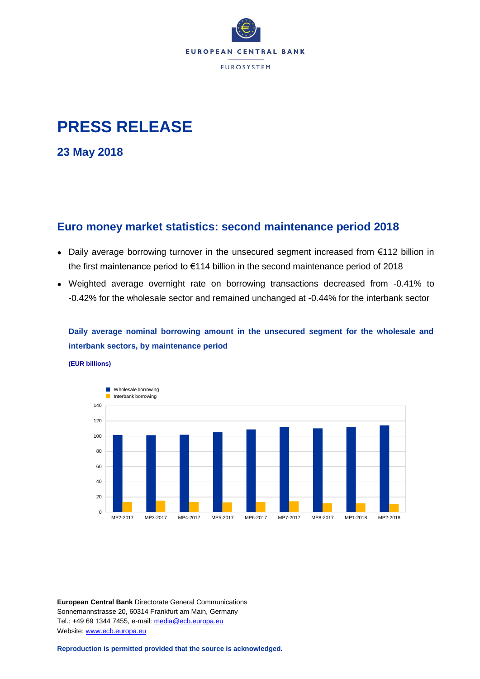

# **PRESS RELEASE**

**23 May 2018**

## **Euro money market statistics: second maintenance period 2018**

- Daily average borrowing turnover in the unsecured segment increased from €112 billion in the first maintenance period to €114 billion in the second maintenance period of 2018
- Weighted average overnight rate on borrowing transactions decreased from -0.41% to -0.42% for the wholesale sector and remained unchanged at -0.44% for the interbank sector

**Daily average nominal borrowing amount in the unsecured segment for the wholesale and interbank sectors, by maintenance period**

**(EUR billions)**



**European Central Bank** Directorate General Communications Sonnemannstrasse 20, 60314 Frankfurt am Main, Germany Tel.: +49 69 1344 7455, e-mail: [media@ecb.europa.eu](mailto:media@ecb.europa.eu) Website[: www.ecb.europa.eu](http://www.ecb.europa.eu/)

**Reproduction is permitted provided that the source is acknowledged.**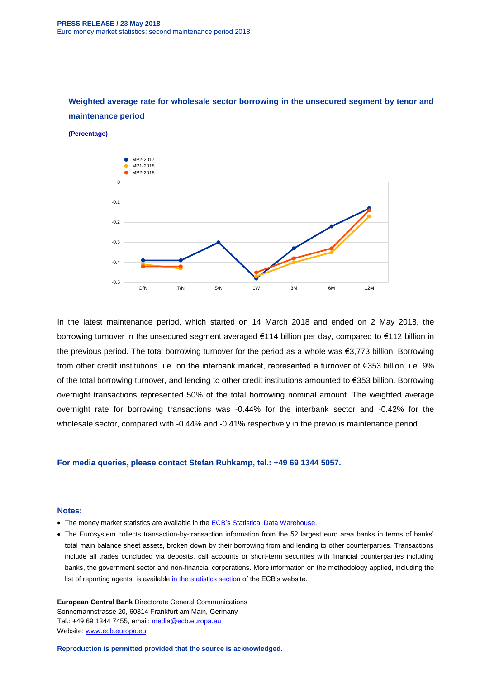

## **Weighted average rate for wholesale sector borrowing in the unsecured segment by tenor and maintenance period**

**(Percentage)**

In the latest maintenance period, which started on 14 March 2018 and ended on 2 May 2018, the borrowing turnover in the unsecured segment averaged €114 billion per day, compared to €112 billion in the previous period. The total borrowing turnover for the period as a whole was €3,773 billion. Borrowing from other credit institutions, i.e. on the interbank market, represented a turnover of €353 billion, i.e. 9% of the total borrowing turnover, and lending to other credit institutions amounted to €353 billion. Borrowing overnight transactions represented 50% of the total borrowing nominal amount. The weighted average overnight rate for borrowing transactions was -0.44% for the interbank sector and -0.42% for the wholesale sector, compared with -0.44% and -0.41% respectively in the previous maintenance period.

### **For media queries, please contact Stefan Ruhkamp, tel.: +49 69 1344 5057.**

#### **Notes:**

- The money market statistics are available in the ECB's [Statistical Data Warehouse.](http://sdw.ecb.europa.eu/browse.do?node=9691420)
- The Eurosystem collects transaction-by-transaction information from the 52 largest euro area banks in terms of banks' total main balance sheet assets, broken down by their borrowing from and lending to other counterparties. Transactions include all trades concluded via deposits, call accounts or short-term securities with financial counterparties including banks, the government sector and non-financial corporations. More information on the methodology applied, including the list of reporting agents, is available [in the statistics section](http://www.ecb.europa.eu/stats/financial_markets_and_interest_rates/money_market/html/index.en.html) of the ECB's website.

**European Central Bank** Directorate General Communications Sonnemannstrasse 20, 60314 Frankfurt am Main, Germany Tel.: +49 69 1344 7455, email: [media@ecb.europa.eu](mailto:media@ecb.europa.eu) Website[: www.ecb.europa.eu](http://www.ecb.europa.eu/)

**Reproduction is permitted provided that the source is acknowledged.**